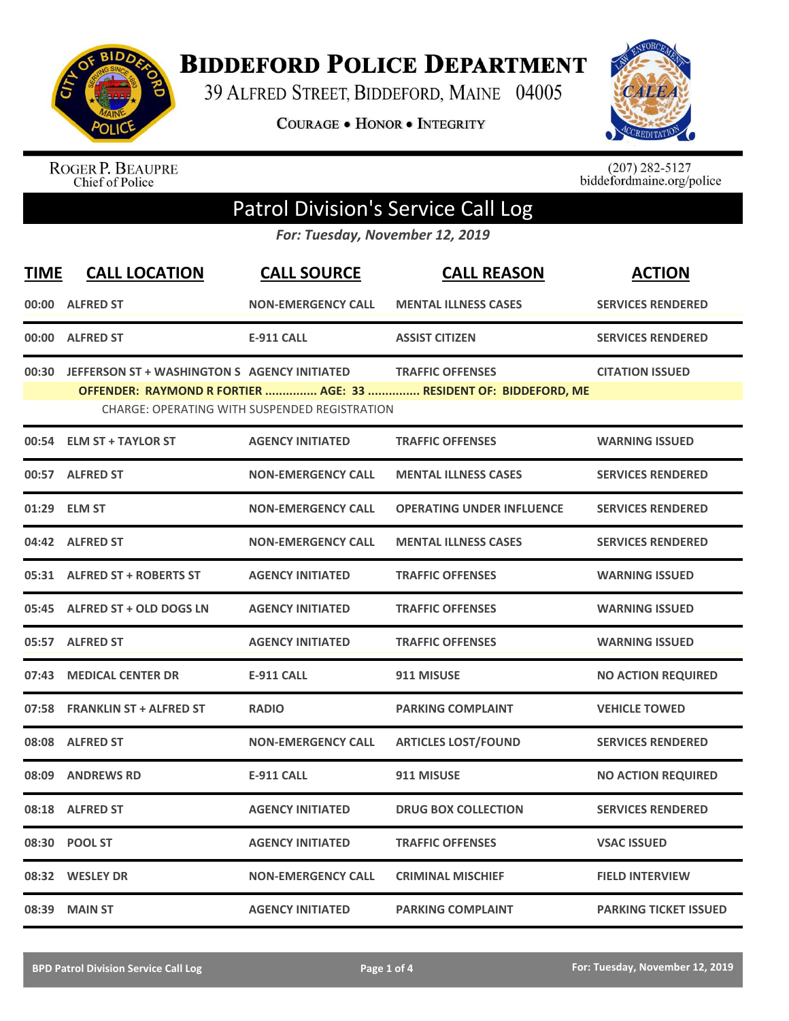

**BIDDEFORD POLICE DEPARTMENT** 

39 ALFRED STREET, BIDDEFORD, MAINE 04005

**COURAGE . HONOR . INTEGRITY** 



ROGER P. BEAUPRE<br>Chief of Police

 $(207)$  282-5127<br>biddefordmaine.org/police

## Patrol Division's Service Call Log

*For: Tuesday, November 12, 2019*

| <b>TIME</b> | <b>CALL LOCATION</b>                         | <b>CALL SOURCE</b>                                   | <b>CALL REASON</b>                                                                          | <b>ACTION</b>                |
|-------------|----------------------------------------------|------------------------------------------------------|---------------------------------------------------------------------------------------------|------------------------------|
|             | 00:00 ALFRED ST                              | <b>NON-EMERGENCY CALL</b>                            | <b>MENTAL ILLNESS CASES</b>                                                                 | <b>SERVICES RENDERED</b>     |
|             | 00:00 ALFRED ST                              | <b>E-911 CALL</b>                                    | <b>ASSIST CITIZEN</b>                                                                       | <b>SERVICES RENDERED</b>     |
| 00:30       | JEFFERSON ST + WASHINGTON S AGENCY INITIATED | <b>CHARGE: OPERATING WITH SUSPENDED REGISTRATION</b> | <b>TRAFFIC OFFENSES</b><br>OFFENDER: RAYMOND R FORTIER  AGE: 33  RESIDENT OF: BIDDEFORD, ME | <b>CITATION ISSUED</b>       |
|             | 00:54 ELM ST + TAYLOR ST                     | <b>AGENCY INITIATED</b>                              | <b>TRAFFIC OFFENSES</b>                                                                     | <b>WARNING ISSUED</b>        |
|             | 00:57 ALFRED ST                              | <b>NON-EMERGENCY CALL</b>                            | <b>MENTAL ILLNESS CASES</b>                                                                 | <b>SERVICES RENDERED</b>     |
|             | 01:29 ELM ST                                 | <b>NON-EMERGENCY CALL</b>                            | <b>OPERATING UNDER INFLUENCE</b>                                                            | <b>SERVICES RENDERED</b>     |
|             | 04:42 ALFRED ST                              | <b>NON-EMERGENCY CALL</b>                            | <b>MENTAL ILLNESS CASES</b>                                                                 | <b>SERVICES RENDERED</b>     |
|             | 05:31 ALFRED ST + ROBERTS ST                 | <b>AGENCY INITIATED</b>                              | <b>TRAFFIC OFFENSES</b>                                                                     | <b>WARNING ISSUED</b>        |
|             | 05:45 ALFRED ST + OLD DOGS LN                | <b>AGENCY INITIATED</b>                              | <b>TRAFFIC OFFENSES</b>                                                                     | <b>WARNING ISSUED</b>        |
|             | 05:57 ALFRED ST                              | <b>AGENCY INITIATED</b>                              | <b>TRAFFIC OFFENSES</b>                                                                     | <b>WARNING ISSUED</b>        |
|             | 07:43 MEDICAL CENTER DR                      | <b>E-911 CALL</b>                                    | 911 MISUSE                                                                                  | <b>NO ACTION REQUIRED</b>    |
|             | 07:58 FRANKLIN ST + ALFRED ST                | <b>RADIO</b>                                         | <b>PARKING COMPLAINT</b>                                                                    | <b>VEHICLE TOWED</b>         |
| 08:08       | <b>ALFRED ST</b>                             | <b>NON-EMERGENCY CALL</b>                            | <b>ARTICLES LOST/FOUND</b>                                                                  | <b>SERVICES RENDERED</b>     |
| 08:09       | <b>ANDREWS RD</b>                            | <b>E-911 CALL</b>                                    | 911 MISUSE                                                                                  | <b>NO ACTION REQUIRED</b>    |
|             | 08:18 ALFRED ST                              | <b>AGENCY INITIATED</b>                              | <b>DRUG BOX COLLECTION</b>                                                                  | <b>SERVICES RENDERED</b>     |
| 08:30       | <b>POOL ST</b>                               | <b>AGENCY INITIATED</b>                              | <b>TRAFFIC OFFENSES</b>                                                                     | <b>VSAC ISSUED</b>           |
|             | 08:32 WESLEY DR                              | <b>NON-EMERGENCY CALL</b>                            | <b>CRIMINAL MISCHIEF</b>                                                                    | <b>FIELD INTERVIEW</b>       |
|             | 08:39 MAIN ST                                | <b>AGENCY INITIATED</b>                              | <b>PARKING COMPLAINT</b>                                                                    | <b>PARKING TICKET ISSUED</b> |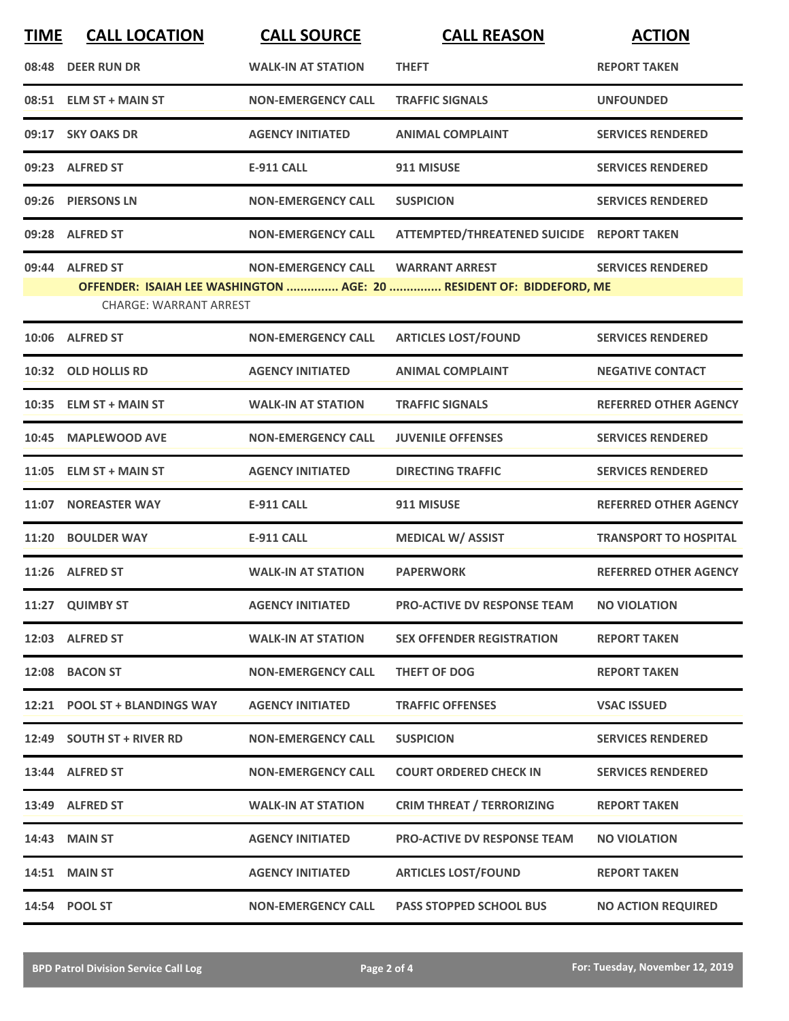| <b>TIME</b> | <b>CALL LOCATION</b>          | <b>CALL SOURCE</b>        | <b>CALL REASON</b>                                                   | <b>ACTION</b>                |
|-------------|-------------------------------|---------------------------|----------------------------------------------------------------------|------------------------------|
|             | 08:48 DEER RUN DR             | <b>WALK-IN AT STATION</b> | <b>THEFT</b>                                                         | <b>REPORT TAKEN</b>          |
|             | 08:51 ELM ST + MAIN ST        | <b>NON-EMERGENCY CALL</b> | <b>TRAFFIC SIGNALS</b>                                               | <b>UNFOUNDED</b>             |
|             | 09:17 SKY OAKS DR             | <b>AGENCY INITIATED</b>   | <b>ANIMAL COMPLAINT</b>                                              | <b>SERVICES RENDERED</b>     |
|             | 09:23 ALFRED ST               | <b>E-911 CALL</b>         | 911 MISUSE                                                           | <b>SERVICES RENDERED</b>     |
|             | 09:26 PIERSONS LN             | <b>NON-EMERGENCY CALL</b> | <b>SUSPICION</b>                                                     | <b>SERVICES RENDERED</b>     |
|             | 09:28 ALFRED ST               | <b>NON-EMERGENCY CALL</b> | ATTEMPTED/THREATENED SUICIDE REPORT TAKEN                            |                              |
|             | 09:44 ALFRED ST               | <b>NON-EMERGENCY CALL</b> | <b>WARRANT ARREST</b>                                                | <b>SERVICES RENDERED</b>     |
|             |                               |                           | OFFENDER: ISAIAH LEE WASHINGTON  AGE: 20  RESIDENT OF: BIDDEFORD, ME |                              |
|             | <b>CHARGE: WARRANT ARREST</b> |                           |                                                                      |                              |
|             | 10:06 ALFRED ST               | <b>NON-EMERGENCY CALL</b> | <b>ARTICLES LOST/FOUND</b>                                           | <b>SERVICES RENDERED</b>     |
|             | 10:32 OLD HOLLIS RD           | <b>AGENCY INITIATED</b>   | <b>ANIMAL COMPLAINT</b>                                              | <b>NEGATIVE CONTACT</b>      |
|             | 10:35 ELM ST + MAIN ST        | <b>WALK-IN AT STATION</b> | <b>TRAFFIC SIGNALS</b>                                               | <b>REFERRED OTHER AGENCY</b> |
| 10:45       | <b>MAPLEWOOD AVE</b>          | <b>NON-EMERGENCY CALL</b> | <b>JUVENILE OFFENSES</b>                                             | <b>SERVICES RENDERED</b>     |
|             | 11:05 ELM ST + MAIN ST        | <b>AGENCY INITIATED</b>   | <b>DIRECTING TRAFFIC</b>                                             | <b>SERVICES RENDERED</b>     |
| 11:07       | <b>NOREASTER WAY</b>          | <b>E-911 CALL</b>         | 911 MISUSE                                                           | <b>REFERRED OTHER AGENCY</b> |
|             | 11:20 BOULDER WAY             | <b>E-911 CALL</b>         | <b>MEDICAL W/ ASSIST</b>                                             | <b>TRANSPORT TO HOSPITAL</b> |
|             | 11:26 ALFRED ST               | <b>WALK-IN AT STATION</b> | <b>PAPERWORK</b>                                                     | <b>REFERRED OTHER AGENCY</b> |
|             | 11:27 QUIMBY ST               | <b>AGENCY INITIATED</b>   | PRO-ACTIVE DV RESPONSE TEAM                                          | <b>NO VIOLATION</b>          |
|             | 12:03 ALFRED ST               | <b>WALK-IN AT STATION</b> | <b>SEX OFFENDER REGISTRATION</b>                                     | <b>REPORT TAKEN</b>          |
|             | 12:08 BACON ST                | <b>NON-EMERGENCY CALL</b> | THEFT OF DOG                                                         | <b>REPORT TAKEN</b>          |
|             | 12:21 POOL ST + BLANDINGS WAY | <b>AGENCY INITIATED</b>   | <b>TRAFFIC OFFENSES</b>                                              | <b>VSAC ISSUED</b>           |
|             | 12:49 SOUTH ST + RIVER RD     | <b>NON-EMERGENCY CALL</b> | <b>SUSPICION</b>                                                     | <b>SERVICES RENDERED</b>     |
|             | 13:44 ALFRED ST               | <b>NON-EMERGENCY CALL</b> | <b>COURT ORDERED CHECK IN</b>                                        | <b>SERVICES RENDERED</b>     |
|             | 13:49 ALFRED ST               | <b>WALK-IN AT STATION</b> | <b>CRIM THREAT / TERRORIZING</b>                                     | <b>REPORT TAKEN</b>          |
|             | 14:43 MAIN ST                 | <b>AGENCY INITIATED</b>   | <b>PRO-ACTIVE DV RESPONSE TEAM</b>                                   | <b>NO VIOLATION</b>          |
|             | <b>14:51 MAIN ST</b>          | <b>AGENCY INITIATED</b>   | <b>ARTICLES LOST/FOUND</b>                                           | <b>REPORT TAKEN</b>          |
|             | 14:54 POOL ST                 | <b>NON-EMERGENCY CALL</b> | <b>PASS STOPPED SCHOOL BUS</b>                                       | <b>NO ACTION REQUIRED</b>    |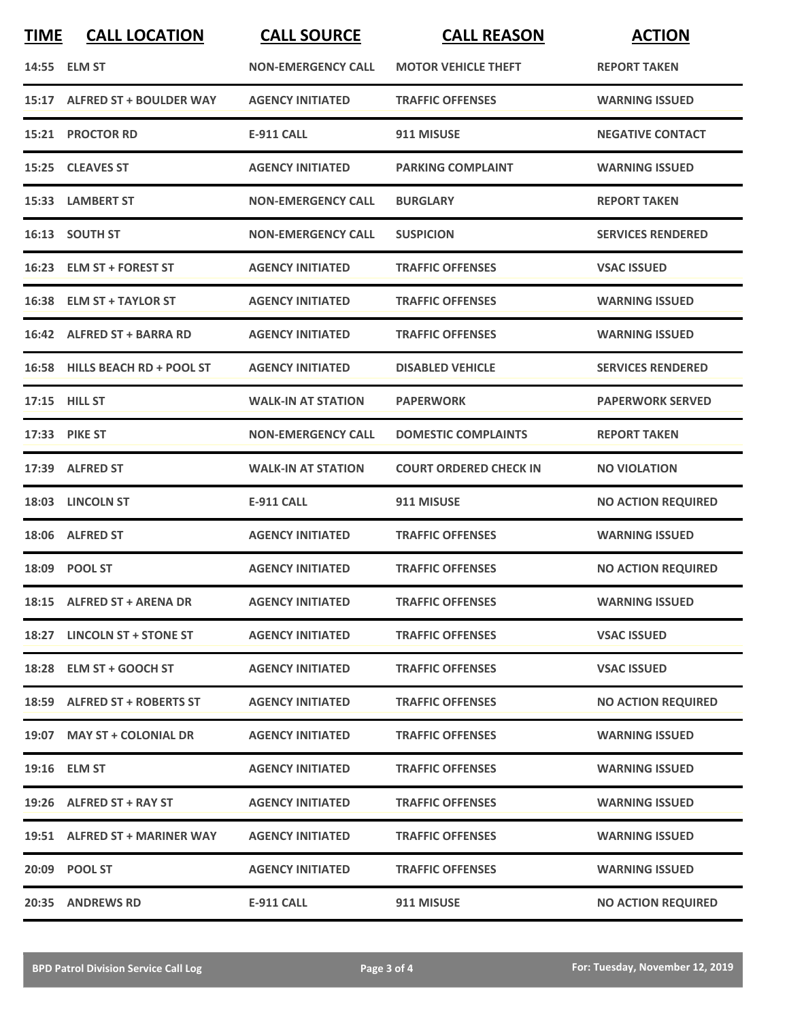| <b>TIME</b> | <b>CALL LOCATION</b>           | <b>CALL SOURCE</b>        | <b>CALL REASON</b>            | <b>ACTION</b>             |
|-------------|--------------------------------|---------------------------|-------------------------------|---------------------------|
|             | 14:55 ELM ST                   | <b>NON-EMERGENCY CALL</b> | <b>MOTOR VEHICLE THEFT</b>    | <b>REPORT TAKEN</b>       |
|             | 15:17 ALFRED ST + BOULDER WAY  | <b>AGENCY INITIATED</b>   | <b>TRAFFIC OFFENSES</b>       | <b>WARNING ISSUED</b>     |
|             | 15:21 PROCTOR RD               | <b>E-911 CALL</b>         | 911 MISUSE                    | <b>NEGATIVE CONTACT</b>   |
|             | 15:25 CLEAVES ST               | <b>AGENCY INITIATED</b>   | <b>PARKING COMPLAINT</b>      | <b>WARNING ISSUED</b>     |
|             | 15:33 LAMBERT ST               | <b>NON-EMERGENCY CALL</b> | <b>BURGLARY</b>               | <b>REPORT TAKEN</b>       |
|             | 16:13 SOUTH ST                 | <b>NON-EMERGENCY CALL</b> | <b>SUSPICION</b>              | <b>SERVICES RENDERED</b>  |
| 16:23       | <b>ELM ST + FOREST ST</b>      | <b>AGENCY INITIATED</b>   | <b>TRAFFIC OFFENSES</b>       | <b>VSAC ISSUED</b>        |
| 16:38       | <b>ELM ST + TAYLOR ST</b>      | <b>AGENCY INITIATED</b>   | <b>TRAFFIC OFFENSES</b>       | <b>WARNING ISSUED</b>     |
|             | 16:42 ALFRED ST + BARRA RD     | <b>AGENCY INITIATED</b>   | <b>TRAFFIC OFFENSES</b>       | <b>WARNING ISSUED</b>     |
|             | 16:58 HILLS BEACH RD + POOL ST | <b>AGENCY INITIATED</b>   | <b>DISABLED VEHICLE</b>       | <b>SERVICES RENDERED</b>  |
|             | 17:15 HILL ST                  | <b>WALK-IN AT STATION</b> | <b>PAPERWORK</b>              | <b>PAPERWORK SERVED</b>   |
|             | 17:33 PIKE ST                  | <b>NON-EMERGENCY CALL</b> | <b>DOMESTIC COMPLAINTS</b>    | <b>REPORT TAKEN</b>       |
| 17:39       | <b>ALFRED ST</b>               | <b>WALK-IN AT STATION</b> | <b>COURT ORDERED CHECK IN</b> | <b>NO VIOLATION</b>       |
|             | 18:03 LINCOLN ST               | <b>E-911 CALL</b>         | 911 MISUSE                    | <b>NO ACTION REQUIRED</b> |
|             | 18:06 ALFRED ST                | <b>AGENCY INITIATED</b>   | <b>TRAFFIC OFFENSES</b>       | <b>WARNING ISSUED</b>     |
|             | 18:09 POOL ST                  | <b>AGENCY INITIATED</b>   | <b>TRAFFIC OFFENSES</b>       | <b>NO ACTION REQUIRED</b> |
|             | 18:15 ALFRED ST + ARENA DR     | <b>AGENCY INITIATED</b>   | <b>TRAFFIC OFFENSES</b>       | <b>WARNING ISSUED</b>     |
|             | 18:27 LINCOLN ST + STONE ST    | <b>AGENCY INITIATED</b>   | <b>TRAFFIC OFFENSES</b>       | <b>VSAC ISSUED</b>        |
|             | 18:28 ELM ST + GOOCH ST        | <b>AGENCY INITIATED</b>   | <b>TRAFFIC OFFENSES</b>       | <b>VSAC ISSUED</b>        |
|             | 18:59 ALFRED ST + ROBERTS ST   | <b>AGENCY INITIATED</b>   | <b>TRAFFIC OFFENSES</b>       | <b>NO ACTION REQUIRED</b> |
|             | 19:07 MAY ST + COLONIAL DR     | <b>AGENCY INITIATED</b>   | <b>TRAFFIC OFFENSES</b>       | <b>WARNING ISSUED</b>     |
|             | 19:16 ELM ST                   | <b>AGENCY INITIATED</b>   | <b>TRAFFIC OFFENSES</b>       | <b>WARNING ISSUED</b>     |
|             | 19:26 ALFRED ST + RAY ST       | <b>AGENCY INITIATED</b>   | <b>TRAFFIC OFFENSES</b>       | <b>WARNING ISSUED</b>     |
|             | 19:51 ALFRED ST + MARINER WAY  | <b>AGENCY INITIATED</b>   | <b>TRAFFIC OFFENSES</b>       | <b>WARNING ISSUED</b>     |
|             | 20:09 POOL ST                  | <b>AGENCY INITIATED</b>   | <b>TRAFFIC OFFENSES</b>       | <b>WARNING ISSUED</b>     |
|             | 20:35 ANDREWS RD               | <b>E-911 CALL</b>         | 911 MISUSE                    | <b>NO ACTION REQUIRED</b> |